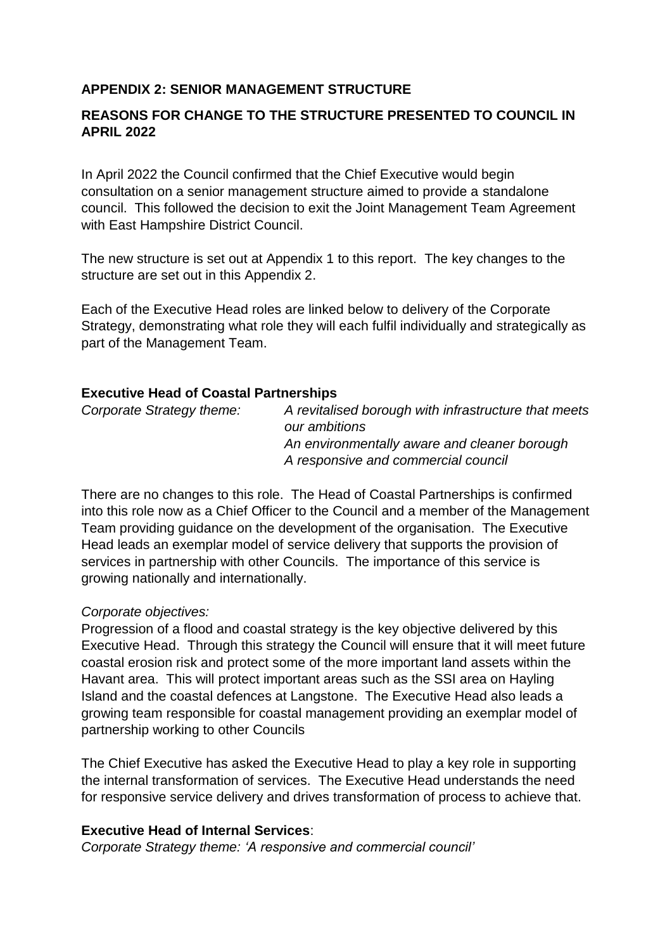# **APPENDIX 2: SENIOR MANAGEMENT STRUCTURE**

# **REASONS FOR CHANGE TO THE STRUCTURE PRESENTED TO COUNCIL IN APRIL 2022**

In April 2022 the Council confirmed that the Chief Executive would begin consultation on a senior management structure aimed to provide a standalone council. This followed the decision to exit the Joint Management Team Agreement with East Hampshire District Council.

The new structure is set out at Appendix 1 to this report. The key changes to the structure are set out in this Appendix 2.

Each of the Executive Head roles are linked below to delivery of the Corporate Strategy, demonstrating what role they will each fulfil individually and strategically as part of the Management Team.

#### **Executive Head of Coastal Partnerships**

| Corporate Strategy theme: | A revitalised borough with infrastructure that meets |
|---------------------------|------------------------------------------------------|
|                           | our ambitions                                        |
|                           | An environmentally aware and cleaner borough         |
|                           | A responsive and commercial council                  |
|                           |                                                      |

There are no changes to this role. The Head of Coastal Partnerships is confirmed into this role now as a Chief Officer to the Council and a member of the Management Team providing guidance on the development of the organisation. The Executive Head leads an exemplar model of service delivery that supports the provision of services in partnership with other Councils. The importance of this service is growing nationally and internationally.

# *Corporate objectives:*

Progression of a flood and coastal strategy is the key objective delivered by this Executive Head. Through this strategy the Council will ensure that it will meet future coastal erosion risk and protect some of the more important land assets within the Havant area. This will protect important areas such as the SSI area on Hayling Island and the coastal defences at Langstone. The Executive Head also leads a growing team responsible for coastal management providing an exemplar model of partnership working to other Councils

The Chief Executive has asked the Executive Head to play a key role in supporting the internal transformation of services. The Executive Head understands the need for responsive service delivery and drives transformation of process to achieve that.

# **Executive Head of Internal Services**:

*Corporate Strategy theme: 'A responsive and commercial council'*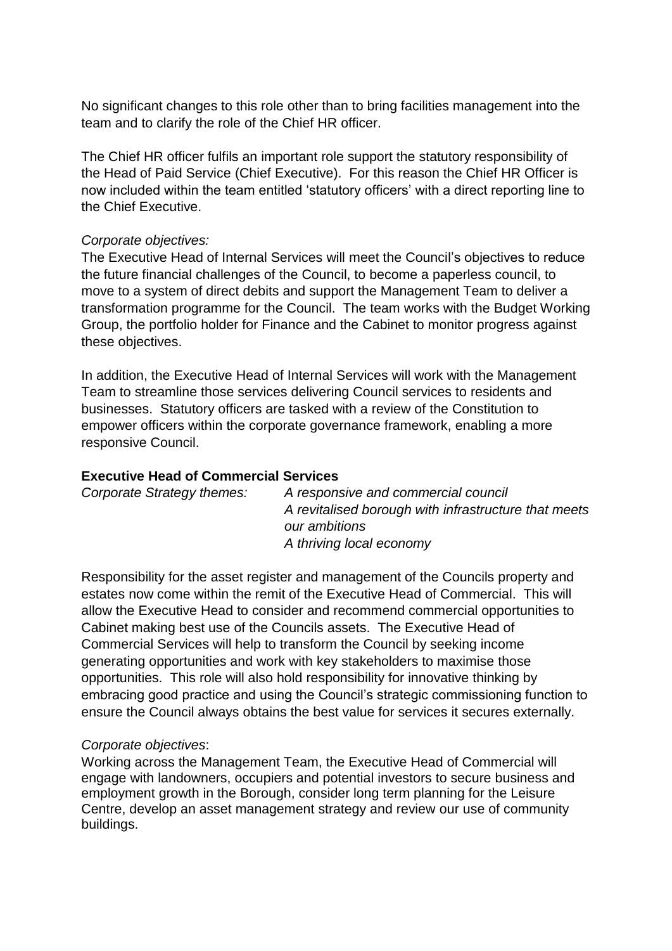No significant changes to this role other than to bring facilities management into the team and to clarify the role of the Chief HR officer.

The Chief HR officer fulfils an important role support the statutory responsibility of the Head of Paid Service (Chief Executive). For this reason the Chief HR Officer is now included within the team entitled 'statutory officers' with a direct reporting line to the Chief Executive.

#### *Corporate objectives:*

The Executive Head of Internal Services will meet the Council's objectives to reduce the future financial challenges of the Council, to become a paperless council, to move to a system of direct debits and support the Management Team to deliver a transformation programme for the Council. The team works with the Budget Working Group, the portfolio holder for Finance and the Cabinet to monitor progress against these objectives.

In addition, the Executive Head of Internal Services will work with the Management Team to streamline those services delivering Council services to residents and businesses. Statutory officers are tasked with a review of the Constitution to empower officers within the corporate governance framework, enabling a more responsive Council.

### **Executive Head of Commercial Services**

| Corporate Strategy themes: | A responsive and commercial council                  |
|----------------------------|------------------------------------------------------|
|                            | A revitalised borough with infrastructure that meets |
|                            | our ambitions                                        |
|                            | A thriving local economy                             |
|                            |                                                      |

Responsibility for the asset register and management of the Councils property and estates now come within the remit of the Executive Head of Commercial. This will allow the Executive Head to consider and recommend commercial opportunities to Cabinet making best use of the Councils assets. The Executive Head of Commercial Services will help to transform the Council by seeking income generating opportunities and work with key stakeholders to maximise those opportunities. This role will also hold responsibility for innovative thinking by embracing good practice and using the Council's strategic commissioning function to ensure the Council always obtains the best value for services it secures externally.

# *Corporate objectives*:

Working across the Management Team, the Executive Head of Commercial will engage with landowners, occupiers and potential investors to secure business and employment growth in the Borough, consider long term planning for the Leisure Centre, develop an asset management strategy and review our use of community buildings.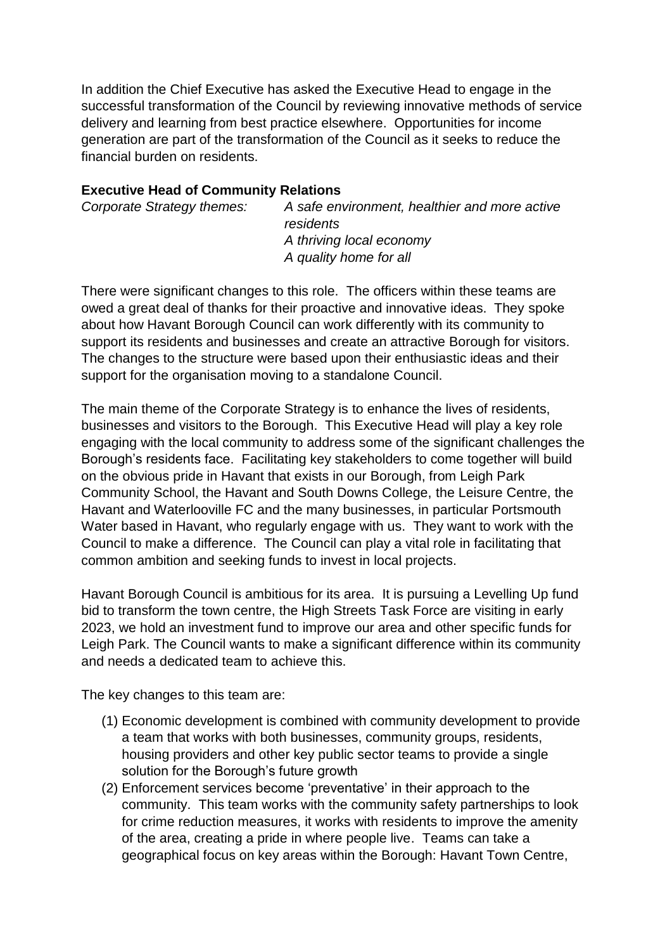In addition the Chief Executive has asked the Executive Head to engage in the successful transformation of the Council by reviewing innovative methods of service delivery and learning from best practice elsewhere. Opportunities for income generation are part of the transformation of the Council as it seeks to reduce the financial burden on residents.

# **Executive Head of Community Relations**

| Corporate Strategy themes: | A safe environment, healthier and more active<br>residents |
|----------------------------|------------------------------------------------------------|
|                            | A thriving local economy                                   |
|                            | A quality home for all                                     |

There were significant changes to this role. The officers within these teams are owed a great deal of thanks for their proactive and innovative ideas. They spoke about how Havant Borough Council can work differently with its community to support its residents and businesses and create an attractive Borough for visitors. The changes to the structure were based upon their enthusiastic ideas and their support for the organisation moving to a standalone Council.

The main theme of the Corporate Strategy is to enhance the lives of residents, businesses and visitors to the Borough. This Executive Head will play a key role engaging with the local community to address some of the significant challenges the Borough's residents face. Facilitating key stakeholders to come together will build on the obvious pride in Havant that exists in our Borough, from Leigh Park Community School, the Havant and South Downs College, the Leisure Centre, the Havant and Waterlooville FC and the many businesses, in particular Portsmouth Water based in Havant, who regularly engage with us. They want to work with the Council to make a difference. The Council can play a vital role in facilitating that common ambition and seeking funds to invest in local projects.

Havant Borough Council is ambitious for its area. It is pursuing a Levelling Up fund bid to transform the town centre, the High Streets Task Force are visiting in early 2023, we hold an investment fund to improve our area and other specific funds for Leigh Park. The Council wants to make a significant difference within its community and needs a dedicated team to achieve this.

The key changes to this team are:

- (1) Economic development is combined with community development to provide a team that works with both businesses, community groups, residents, housing providers and other key public sector teams to provide a single solution for the Borough's future growth
- (2) Enforcement services become 'preventative' in their approach to the community. This team works with the community safety partnerships to look for crime reduction measures, it works with residents to improve the amenity of the area, creating a pride in where people live. Teams can take a geographical focus on key areas within the Borough: Havant Town Centre,